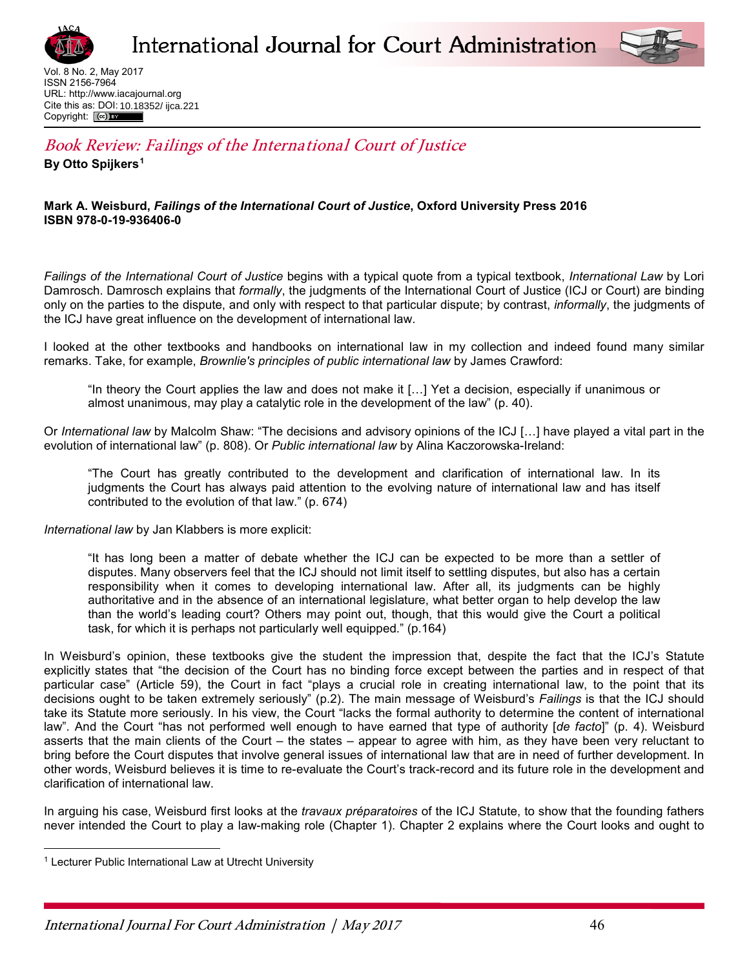



Vol. 8 No. 2, May 2017 ISSN 2156-7964 URL[: http://www.iacajournal.org](http://www.iacajournal.org/) Cite this as: DOI: 10.18352/ ijca.221Copyright: (cc)

## Book Review: Failings of the International Court of Justice **By Otto Spijkers1**

## **Mark A. Weisburd,** *Failings of the International Court of Justice***, Oxford University Press 2016 ISBN 978-0-19-936406-0**

*Failings of the International Court of Justice* begins with a typical quote from a typical textbook, *International Law* by Lori Damrosch. Damrosch explains that *formally*, the judgments of the International Court of Justice (ICJ or Court) are binding only on the parties to the dispute, and only with respect to that particular dispute; by contrast, *informally*, the judgments of the ICJ have great influence on the development of international law.

I looked at the other textbooks and handbooks on international law in my collection and indeed found many similar remarks. Take, for example, *Brownlie's principles of public international law* by James Crawford:

"In theory the Court applies the law and does not make it […] Yet a decision, especially if unanimous or almost unanimous, may play a catalytic role in the development of the law" (p. 40).

Or *International law* by Malcolm Shaw: "The decisions and advisory opinions of the ICJ […] have played a vital part in the evolution of international law" (p. 808). Or *Public international law* by Alina Kaczorowska-Ireland:

"The Court has greatly contributed to the development and clarification of international law. In its judgments the Court has always paid attention to the evolving nature of international law and has itself contributed to the evolution of that law." (p. 674)

*International law* by Jan Klabbers is more explicit:

"It has long been a matter of debate whether the ICJ can be expected to be more than a settler of disputes. Many observers feel that the ICJ should not limit itself to settling disputes, but also has a certain responsibility when it comes to developing international law. After all, its judgments can be highly authoritative and in the absence of an international legislature, what better organ to help develop the law than the world's leading court? Others may point out, though, that this would give the Court a political task, for which it is perhaps not particularly well equipped." (p.164)

In Weisburd's opinion, these textbooks give the student the impression that, despite the fact that the ICJ's Statute explicitly states that "the decision of the Court has no binding force except between the parties and in respect of that particular case" (Article 59), the Court in fact "plays a crucial role in creating international law, to the point that its decisions ought to be taken extremely seriously" (p.2). The main message of Weisburd's *Failings* is that the ICJ should take its Statute more seriously. In his view, the Court "lacks the formal authority to determine the content of international law". And the Court "has not performed well enough to have earned that type of authority [*de facto*]" (p. 4). Weisburd asserts that the main clients of the Court – the states – appear to agree with him, as they have been very reluctant to bring before the Court disputes that involve general issues of international law that are in need of further development. In other words, Weisburd believes it is time to re-evaluate the Court's track-record and its future role in the development and clarification of international law.

In arguing his case, Weisburd first looks at the *travaux préparatoires* of the ICJ Statute, to show that the founding fathers never intended the Court to play a law-making role (Chapter 1). Chapter 2 explains where the Court looks and ought to

 $\overline{a}$ 

<sup>1</sup> Lecturer Public International Law at Utrecht University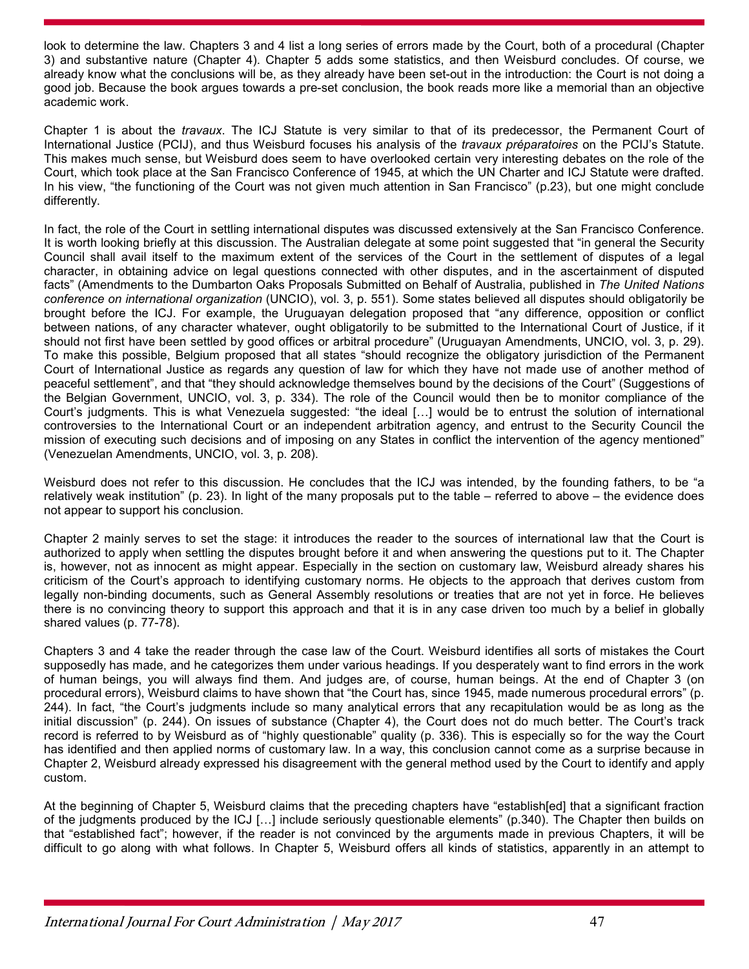look to determine the law. Chapters 3 and 4 list a long series of errors made by the Court, both of a procedural (Chapter 3) and substantive nature (Chapter 4). Chapter 5 adds some statistics, and then Weisburd concludes. Of course, we already know what the conclusions will be, as they already have been set-out in the introduction: the Court is not doing a good job. Because the book argues towards a pre-set conclusion, the book reads more like a memorial than an objective academic work.

Chapter 1 is about the *travaux*. The ICJ Statute is very similar to that of its predecessor, the Permanent Court of International Justice (PCIJ), and thus Weisburd focuses his analysis of the *travaux préparatoires* on the PCIJ's Statute. This makes much sense, but Weisburd does seem to have overlooked certain very interesting debates on the role of the Court, which took place at the San Francisco Conference of 1945, at which the UN Charter and ICJ Statute were drafted. In his view, "the functioning of the Court was not given much attention in San Francisco" (p.23), but one might conclude differently.

In fact, the role of the Court in settling international disputes was discussed extensively at the San Francisco Conference. It is worth looking briefly at this discussion. The Australian delegate at some point suggested that "in general the Security Council shall avail itself to the maximum extent of the services of the Court in the settlement of disputes of a legal character, in obtaining advice on legal questions connected with other disputes, and in the ascertainment of disputed facts" (Amendments to the Dumbarton Oaks Proposals Submitted on Behalf of Australia, published in *The United Nations conference on international organization* (UNCIO), vol. 3, p. 551). Some states believed all disputes should obligatorily be brought before the ICJ. For example, the Uruguayan delegation proposed that "any difference, opposition or conflict between nations, of any character whatever, ought obligatorily to be submitted to the International Court of Justice, if it should not first have been settled by good offices or arbitral procedure" (Uruguayan Amendments, UNCIO, vol. 3, p. 29). To make this possible, Belgium proposed that all states "should recognize the obligatory jurisdiction of the Permanent Court of International Justice as regards any question of law for which they have not made use of another method of peaceful settlement", and that "they should acknowledge themselves bound by the decisions of the Court" (Suggestions of the Belgian Government, UNCIO, vol. 3, p. 334). The role of the Council would then be to monitor compliance of the Court's judgments. This is what Venezuela suggested: "the ideal […] would be to entrust the solution of international controversies to the International Court or an independent arbitration agency, and entrust to the Security Council the mission of executing such decisions and of imposing on any States in conflict the intervention of the agency mentioned" (Venezuelan Amendments, UNCIO, vol. 3, p. 208).

Weisburd does not refer to this discussion. He concludes that the ICJ was intended, by the founding fathers, to be "a relatively weak institution" (p. 23). In light of the many proposals put to the table – referred to above – the evidence does not appear to support his conclusion.

Chapter 2 mainly serves to set the stage: it introduces the reader to the sources of international law that the Court is authorized to apply when settling the disputes brought before it and when answering the questions put to it. The Chapter is, however, not as innocent as might appear. Especially in the section on customary law, Weisburd already shares his criticism of the Court's approach to identifying customary norms. He objects to the approach that derives custom from legally non-binding documents, such as General Assembly resolutions or treaties that are not yet in force. He believes there is no convincing theory to support this approach and that it is in any case driven too much by a belief in globally shared values (p. 77-78).

Chapters 3 and 4 take the reader through the case law of the Court. Weisburd identifies all sorts of mistakes the Court supposedly has made, and he categorizes them under various headings. If you desperately want to find errors in the work of human beings, you will always find them. And judges are, of course, human beings. At the end of Chapter 3 (on procedural errors), Weisburd claims to have shown that "the Court has, since 1945, made numerous procedural errors" (p. 244). In fact, "the Court's judgments include so many analytical errors that any recapitulation would be as long as the initial discussion" (p. 244). On issues of substance (Chapter 4), the Court does not do much better. The Court's track record is referred to by Weisburd as of "highly questionable" quality (p. 336). This is especially so for the way the Court has identified and then applied norms of customary law. In a way, this conclusion cannot come as a surprise because in Chapter 2, Weisburd already expressed his disagreement with the general method used by the Court to identify and apply custom.

At the beginning of Chapter 5, Weisburd claims that the preceding chapters have "establish[ed] that a significant fraction of the judgments produced by the ICJ […] include seriously questionable elements" (p.340). The Chapter then builds on that "established fact"; however, if the reader is not convinced by the arguments made in previous Chapters, it will be difficult to go along with what follows. In Chapter 5, Weisburd offers all kinds of statistics, apparently in an attempt to